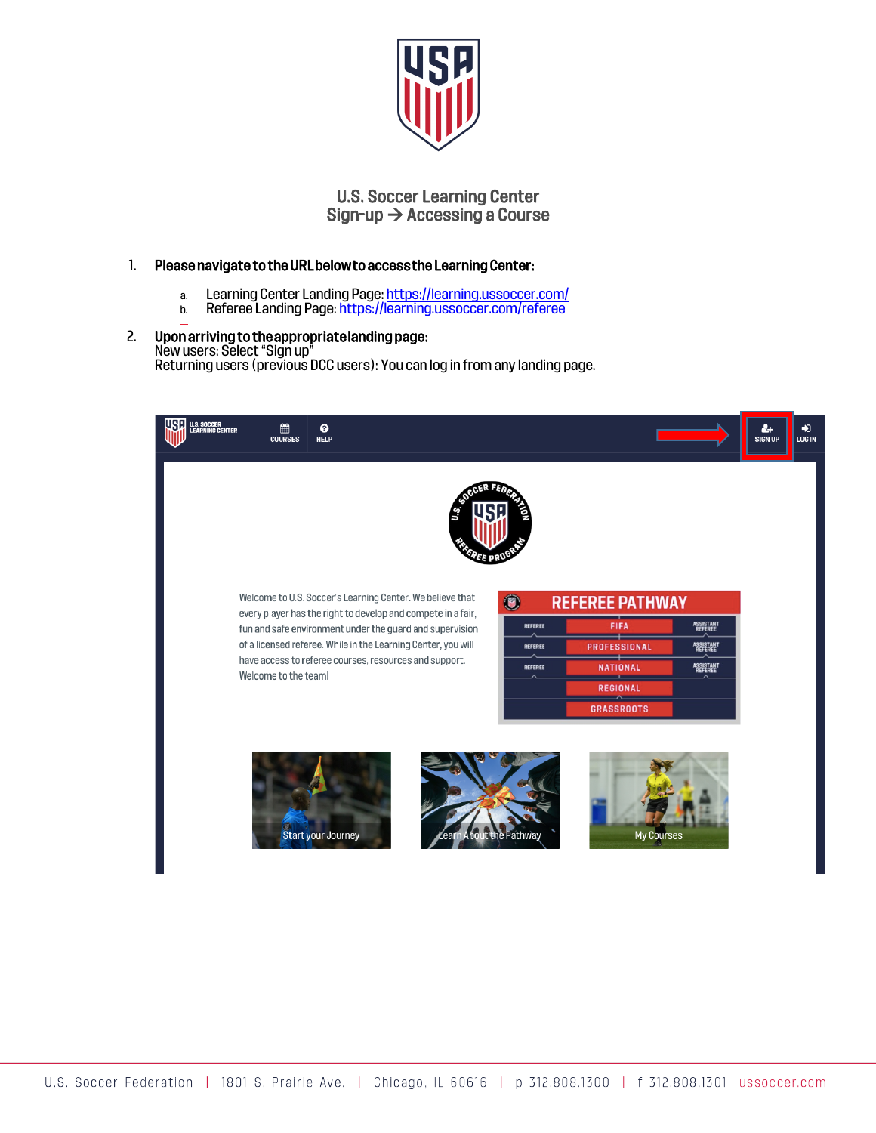

# U.S. Soccer Learning Center  $Sign-up \rightarrow Accessing$  a Course

# 1. Please navigate to the URL below to access the Learning Center:

- a. Learning Center Landing Page: https://learning.ussoccer.com/
- b. Referee Landing Page: https://learning.ussoccer.com/referee

#### 2. Upon arriving to the appropriate landing page: New users: Select "Sign up" Returning users (previous DCC users): You can log in from any landing page.

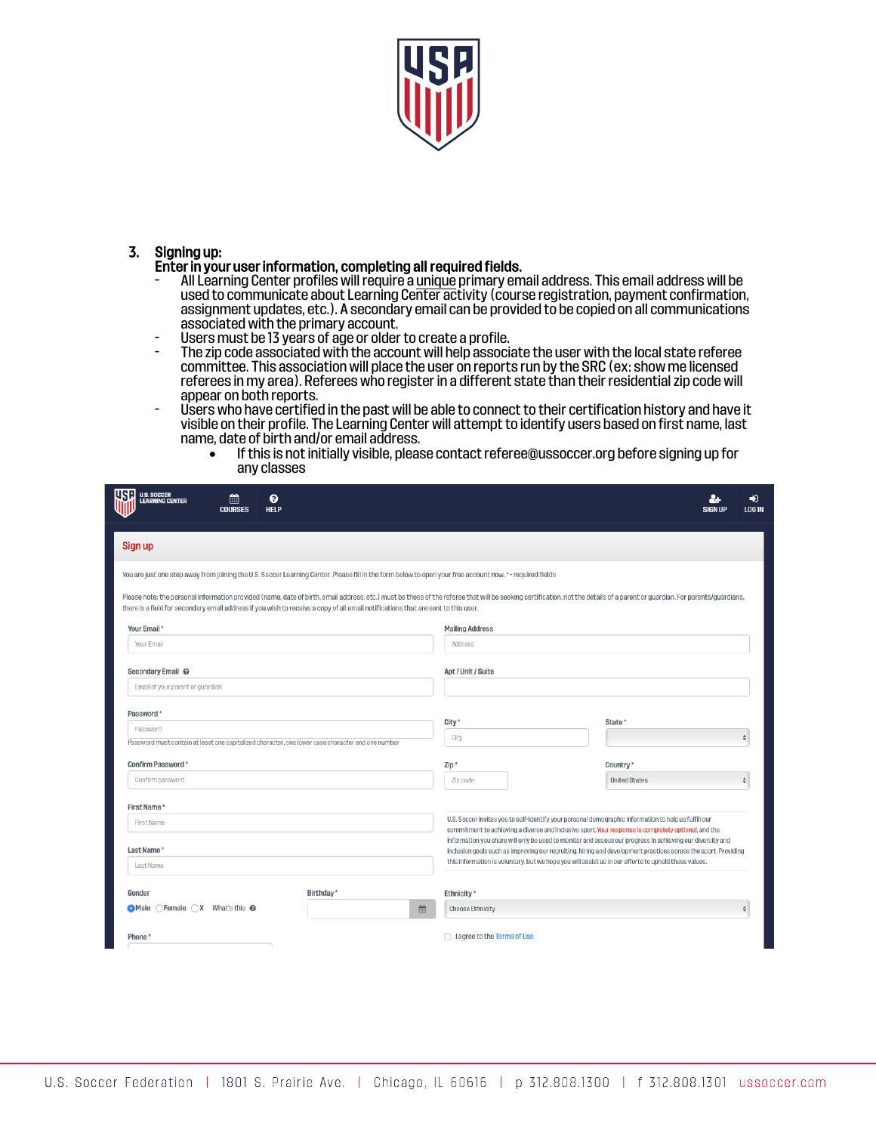

# 3. Signing up:

### Enter in your user information, completing all required fields.

- All Learning Center profiles willrequire a unique primary email address. This email address will be used to communicate about Learning Center activity (course registration, payment confirmation, assignment updates, etc.). A secondary email can be provided to be copied on all communications associated with the primary account.
- Users must be 13 years of age or olderto create a profile.
- The zip code associated with the account will help associate the user with the local state referee committee. This association will place the user on reports run by the SRC (ex: show me licensed referees in my area). Referees who registerin a different state than their residential zip code will appear on both reports.
- Users who have certified in the past will be able to connectto their certification history and have it visible on their profile. The Learning Center will attempt to identify users based on first name, last name, date of birth and/or email address.
	- If this is not initially visible, please contact referee@ussoccer.org before signing up for any classes

| use<br>U.S. SOCCER<br>Learning Center                                                                                                                                                                                                                                                                                                                           | ℯ<br>篇<br><b>HELP</b><br><b>COURSES</b> |                       |   |                                   |                                                                                                                                                                                                                             | 21<br><b>SIGN UP</b> | ♣<br><b>LOG IN</b> |
|-----------------------------------------------------------------------------------------------------------------------------------------------------------------------------------------------------------------------------------------------------------------------------------------------------------------------------------------------------------------|-----------------------------------------|-----------------------|---|-----------------------------------|-----------------------------------------------------------------------------------------------------------------------------------------------------------------------------------------------------------------------------|----------------------|--------------------|
| Sign up                                                                                                                                                                                                                                                                                                                                                         |                                         |                       |   |                                   |                                                                                                                                                                                                                             |                      |                    |
| You are just one step away from joining the U.S. Soccer Learning Center. Please fill in the form below to open your free account now. *- required fields                                                                                                                                                                                                        |                                         |                       |   |                                   |                                                                                                                                                                                                                             |                      |                    |
| Please note: the personal information provided (name, date of birth, email address, etc.) must be those of the referee that will be seeking certification, not the details of a parent or guardian. For parents/guardians,<br>there is a field for secondary email address if you wish to receive a copy of all email notifications that are sent to this user. |                                         |                       |   |                                   |                                                                                                                                                                                                                             |                      |                    |
| Your Email *                                                                                                                                                                                                                                                                                                                                                    |                                         |                       |   | <b>Mailing Address</b>            |                                                                                                                                                                                                                             |                      |                    |
| Your Email                                                                                                                                                                                                                                                                                                                                                      |                                         |                       |   | Address                           |                                                                                                                                                                                                                             |                      |                    |
| Secondary Email @                                                                                                                                                                                                                                                                                                                                               |                                         |                       |   | Apt / Unit / Suite                |                                                                                                                                                                                                                             |                      |                    |
| Email of your parent or guardian                                                                                                                                                                                                                                                                                                                                |                                         |                       |   |                                   |                                                                                                                                                                                                                             |                      |                    |
| Password*                                                                                                                                                                                                                                                                                                                                                       |                                         |                       |   |                                   |                                                                                                                                                                                                                             |                      |                    |
| Password                                                                                                                                                                                                                                                                                                                                                        |                                         |                       |   | City*                             | State <sup>*</sup>                                                                                                                                                                                                          |                      |                    |
| Password must contain at least one capitalized character, one lower case character and one number                                                                                                                                                                                                                                                               |                                         |                       |   | City                              |                                                                                                                                                                                                                             |                      |                    |
| Confirm Password*                                                                                                                                                                                                                                                                                                                                               |                                         |                       |   | Zip*                              | Country <sup>*</sup>                                                                                                                                                                                                        |                      |                    |
| Confirm password                                                                                                                                                                                                                                                                                                                                                |                                         |                       |   | Zip code                          | <b>United States</b>                                                                                                                                                                                                        |                      |                    |
| First Name*                                                                                                                                                                                                                                                                                                                                                     |                                         |                       |   |                                   |                                                                                                                                                                                                                             |                      |                    |
| First Name                                                                                                                                                                                                                                                                                                                                                      |                                         |                       |   |                                   | U.S. Soccer invites you to self-identify your personal demographic information to help us fulfill our<br>commitment to achieving a diverse and inclusive sport. Your response is completely optional, and the               |                      |                    |
| Last Name*                                                                                                                                                                                                                                                                                                                                                      |                                         |                       |   |                                   | information you share will only be used to monitor and assess our progress in achieving our diversity and<br>inclusion goals such as improving our recruiting, hiring and development practices across the sport. Providing |                      |                    |
| Last Name                                                                                                                                                                                                                                                                                                                                                       |                                         |                       |   |                                   | this information is voluntary, but we hope you will assist us in our efforts to uphold these values.                                                                                                                        |                      |                    |
| Gender                                                                                                                                                                                                                                                                                                                                                          |                                         | Birthday <sup>*</sup> |   | Ethnicity*                        |                                                                                                                                                                                                                             |                      |                    |
| $\bullet$ Male $\circ$ Female $\circ$ X What's this $\bullet$                                                                                                                                                                                                                                                                                                   |                                         |                       | 曲 | <b>Choose Ethnicity</b>           |                                                                                                                                                                                                                             |                      |                    |
| Phone <sup>*</sup>                                                                                                                                                                                                                                                                                                                                              |                                         |                       |   | $\Box$ lagree to the Terms of Use |                                                                                                                                                                                                                             |                      |                    |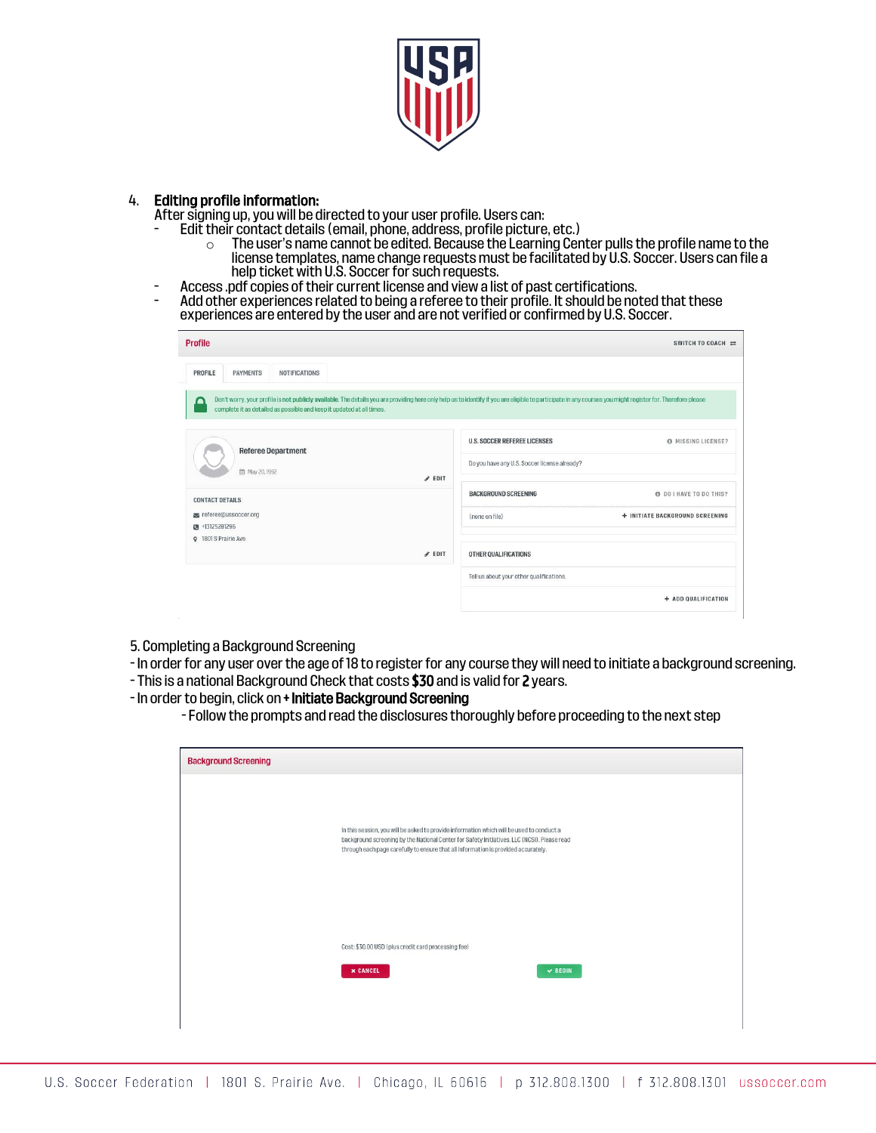

## 4. Editing profile information:

- After signing up, you will be directed to your user profile. Users can:<br>- Edit their contact details (email, phone, address, profile picture, etc.)
	- $\circ$  The user's name cannot be edited. Because the Learning Center pulls the profile name to the license templates, name change requests must be facilitated by U.S. Soccer. Users can file a help ticket with U.S. Soccer for such requests.
- 
- Access .pdf copies of their current license and view a list of past certifications.<br>- Add other experiences related to being a referee to their profile. It should be noted that these experiences are entered by the user and are not verified or confirmed by U.S. Soccer.

| <b>Profile</b>                                                             | SWITCH TO COACH $\rightleftarrows$                                                                                                                                                                          |
|----------------------------------------------------------------------------|-------------------------------------------------------------------------------------------------------------------------------------------------------------------------------------------------------------|
| PROFILE<br><b>PAYMENTS</b><br><b>NOTIFICATIONS</b>                         |                                                                                                                                                                                                             |
| ⋒<br>complete it as detailed as possible and keep it updated at all times. | Don't worry, your profile is not publicly available. The details you are providing here only help us to identify if you are eligible to participate in any courses you might register for. Therefore please |
| <b>Referee Department</b>                                                  | <b>U.S. SOCCER REFEREE LICENSES</b><br>O MISSING LICENSE?                                                                                                                                                   |
| 台 May 20, 1992<br>$\ell$ EDIT                                              | Do you have any U.S. Soccer license already?                                                                                                                                                                |
| <b>CONTACT DETAILS</b>                                                     | <b>BACKGROUND SCREENING</b><br><b>O DO I HAVE TO DO THIS?</b>                                                                                                                                               |
| referee@ussoccer.org<br>■ +13125281296                                     | + INITIATE BACKGROUND SCREENING<br>(none on file)                                                                                                                                                           |
| <b>Q</b> 1801 S Prairie Ave<br>$\ell$ EDIT                                 | OTHER QUALIFICATIONS                                                                                                                                                                                        |
|                                                                            | Tell us about your other qualifications.                                                                                                                                                                    |
|                                                                            | + ADD QUALIFICATION                                                                                                                                                                                         |

- 5. Completing a Background Screening
- In order for any user over the age of 18 to register for any course they will need to initiate a background screening.
- This is a national Background Check that costs \$30 and is valid for 2 years.
- In order to begin, click on + Initiate Background Screening
	- Follow the prompts and read the disclosures thoroughly before proceeding to the next step

| <b>Background Screening</b> |                                                                                                                                                                                                                                                                                |
|-----------------------------|--------------------------------------------------------------------------------------------------------------------------------------------------------------------------------------------------------------------------------------------------------------------------------|
|                             |                                                                                                                                                                                                                                                                                |
|                             | In this session, you will be asked to provide information which will be used to conduct a<br>background screening by the National Center for Safety Initiatives, LLC (NCSI). Please read<br>through each page carefully to ensure that all information is provided accurately. |
|                             |                                                                                                                                                                                                                                                                                |
|                             |                                                                                                                                                                                                                                                                                |
|                             | Cost: \$30.00 USD (plus credit card processing fee)                                                                                                                                                                                                                            |
|                             | <b>x CANCEL</b><br>$\vee$ BEGIN                                                                                                                                                                                                                                                |
|                             |                                                                                                                                                                                                                                                                                |
|                             |                                                                                                                                                                                                                                                                                |